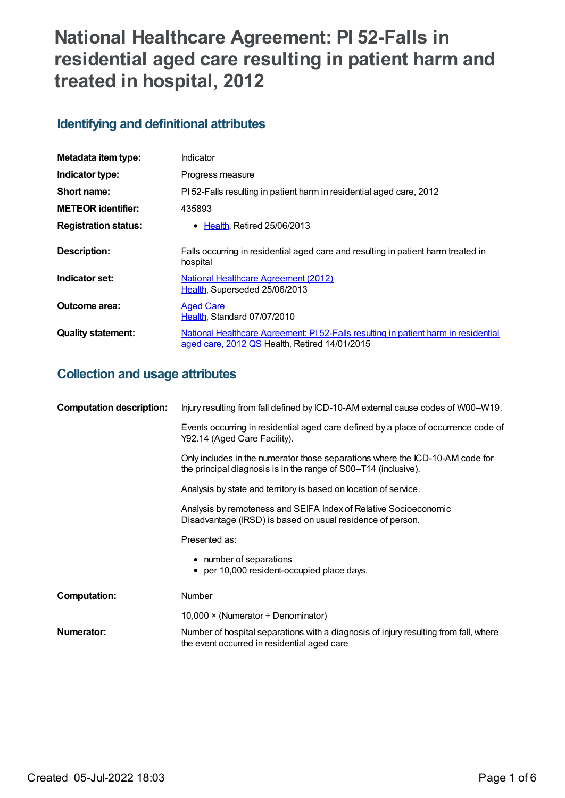# **National Healthcare Agreement: PI 52-Falls in residential aged care resulting in patient harm and treated in hospital, 2012**

# **Identifying and definitional attributes**

| Metadata item type:         | Indicator                                                                                                                            |
|-----------------------------|--------------------------------------------------------------------------------------------------------------------------------------|
| Indicator type:             | Progress measure                                                                                                                     |
| Short name:                 | PI52-Falls resulting in patient harm in residential aged care, 2012                                                                  |
| <b>METEOR identifier:</b>   | 435893                                                                                                                               |
| <b>Registration status:</b> | • Health, Retired 25/06/2013                                                                                                         |
| <b>Description:</b>         | Falls occurring in residential aged care and resulting in patient harm treated in<br>hospital                                        |
| Indicator set:              | National Healthcare Agreement (2012)<br>Health, Superseded 25/06/2013                                                                |
| Outcome area:               | <b>Aged Care</b><br>Health, Standard 07/07/2010                                                                                      |
| <b>Quality statement:</b>   | National Healthcare Agreement: PI 52-Falls resulting in patient harm in residential<br>aged care, 2012 QS Health, Retired 14/01/2015 |

# **Collection and usage attributes**

| <b>Computation description:</b> | Injury resulting from fall defined by ICD-10-AM external cause codes of W00–W19.                                                                 |
|---------------------------------|--------------------------------------------------------------------------------------------------------------------------------------------------|
|                                 | Events occurring in residential aged care defined by a place of occurrence code of<br>Y92.14 (Aged Care Facility).                               |
|                                 | Only includes in the numerator those separations where the ICD-10-AM code for<br>the principal diagnosis is in the range of S00–T14 (inclusive). |
|                                 | Analysis by state and territory is based on location of service.                                                                                 |
|                                 | Analysis by remoteness and SEIFA Index of Relative Socioeconomic<br>Disadvantage (IRSD) is based on usual residence of person.                   |
|                                 | Presented as:                                                                                                                                    |
|                                 | • number of separations<br>• per 10,000 resident-occupied place days.                                                                            |
| <b>Computation:</b>             | <b>Number</b>                                                                                                                                    |
|                                 | 10,000 $\times$ (Numerator ÷ Denominator)                                                                                                        |
| Numerator:                      | Number of hospital separations with a diagnosis of injury resulting from fall, where<br>the event occurred in residential aged care              |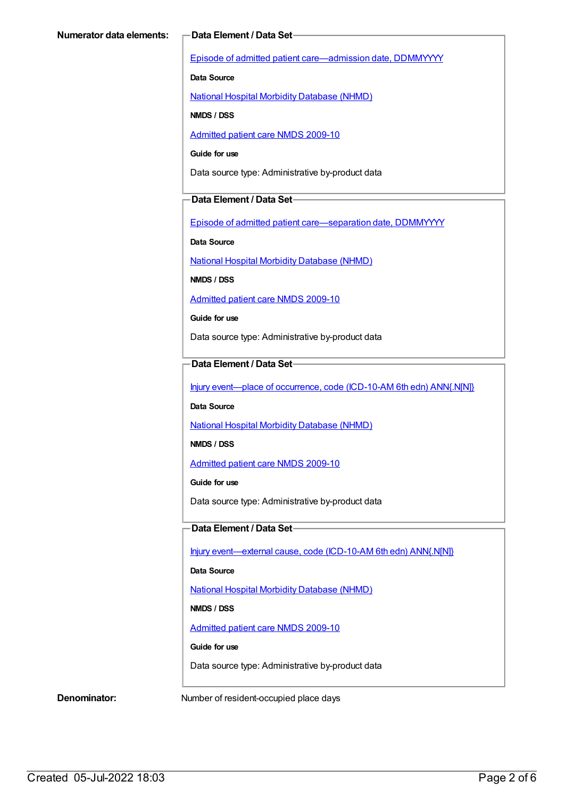Episode of admitted patient [care—admission](https://meteor.aihw.gov.au/content/269967) date, DDMMYYYY

**Data Source**

National Hospital Morbidity [Database](https://meteor.aihw.gov.au/content/394352) (NHMD)

**NMDS / DSS**

[Admitted](https://meteor.aihw.gov.au/content/374205) patient care NMDS 2009-10

**Guide for use**

Data source type: Administrative by-product data

### **Data Element / Data Set**

Episode of admitted patient [care—separation](https://meteor.aihw.gov.au/content/270025) date, DDMMYYYY

**Data Source**

National Hospital Morbidity [Database](https://meteor.aihw.gov.au/content/394352) (NHMD)

**NMDS / DSS**

[Admitted](https://meteor.aihw.gov.au/content/374205) patient care NMDS 2009-10

**Guide for use**

Data source type: Administrative by-product data

## **Data Element / Data Set**

Injury [event—place](https://meteor.aihw.gov.au/content/361677) of occurrence, code (ICD-10-AM 6th edn) ANN{.N[N]}

**Data Source**

National Hospital Morbidity [Database](https://meteor.aihw.gov.au/content/394352) (NHMD)

**NMDS / DSS**

[Admitted](https://meteor.aihw.gov.au/content/374205) patient care NMDS 2009-10

**Guide for use**

Data source type: Administrative by-product data

## **Data Element / Data Set**

Injury [event—external](https://meteor.aihw.gov.au/content/361926) cause, code (ICD-10-AM 6th edn) ANN{.N[N]}

**Data Source**

National Hospital Morbidity [Database](https://meteor.aihw.gov.au/content/394352) (NHMD)

#### **NMDS / DSS**

[Admitted](https://meteor.aihw.gov.au/content/374205) patient care NMDS 2009-10

**Guide for use**

Data source type: Administrative by-product data

**Denominator:** Number of resident-occupied place days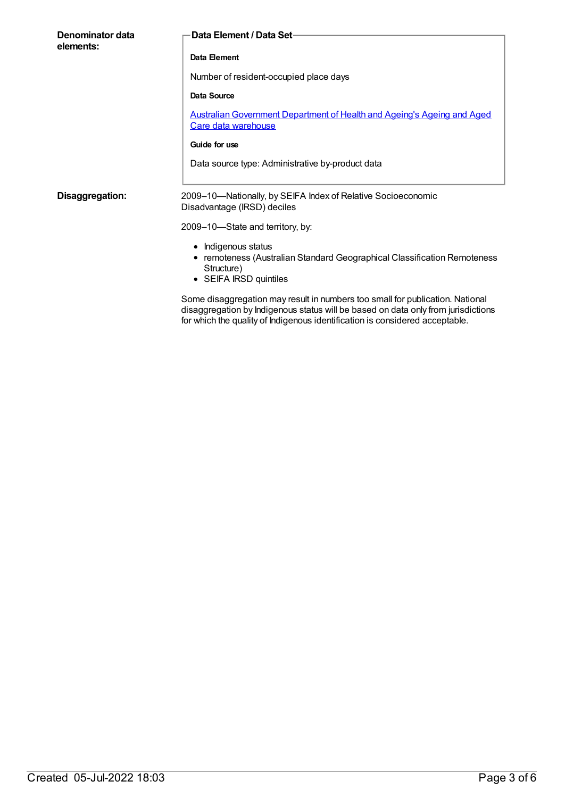| Denominator data<br>elements: | Data Element / Data Set-                                                                                                                |  |
|-------------------------------|-----------------------------------------------------------------------------------------------------------------------------------------|--|
|                               | Data Element                                                                                                                            |  |
|                               | Number of resident-occupied place days                                                                                                  |  |
|                               | Data Source                                                                                                                             |  |
|                               | <b>Australian Government Department of Health and Ageing's Ageing and Aged</b><br>Care data warehouse                                   |  |
|                               | Guide for use                                                                                                                           |  |
|                               | Data source type: Administrative by-product data                                                                                        |  |
| Disaggregation:               | 2009-10-Nationally, by SEIFA Index of Relative Socioeconomic<br>Disadvantage (IRSD) deciles                                             |  |
|                               | 2009-10-State and territory, by:                                                                                                        |  |
|                               | • Indigenous status<br>• remoteness (Australian Standard Geographical Classification Remoteness<br>Structure)<br>• SEIFA IRSD quintiles |  |

Some disaggregation may result in numbers too small for publication. National disaggregation by Indigenous status will be based on data only from jurisdictions for which the quality of Indigenous identification is considered acceptable.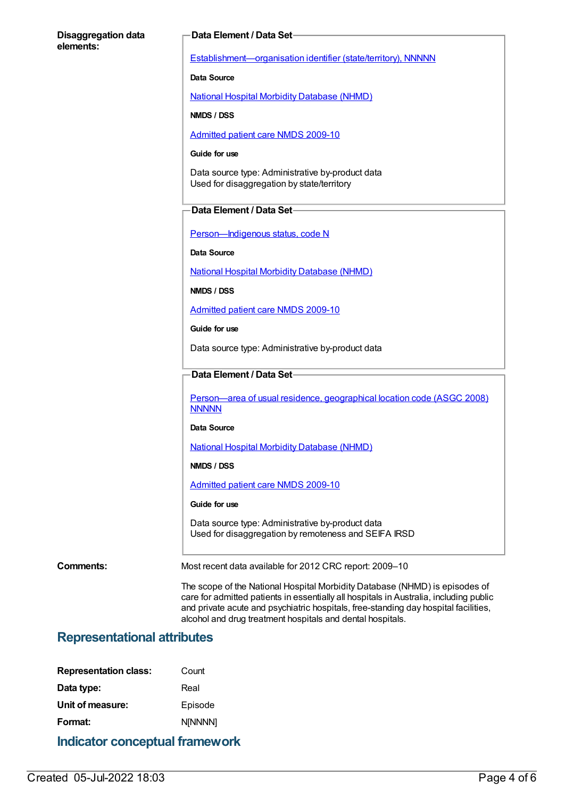#### **Disaggregation data elements:**

#### **Data Element / Data Set**

[Establishment—organisation](https://meteor.aihw.gov.au/content/269975) identifier (state/territory), NNNNN

**Data Source**

National Hospital Morbidity [Database](https://meteor.aihw.gov.au/content/394352) (NHMD)

**NMDS / DSS**

[Admitted](https://meteor.aihw.gov.au/content/374205) patient care NMDS 2009-10

#### **Guide for use**

Data source type: Administrative by-product data Used for disaggregation by state/territory

#### **Data Element / Data Set**

Person-Indigenous status, code N

**Data Source**

National Hospital Morbidity [Database](https://meteor.aihw.gov.au/content/394352) (NHMD)

**NMDS / DSS**

[Admitted](https://meteor.aihw.gov.au/content/374205) patient care NMDS 2009-10

**Guide for use**

Data source type: Administrative by-product data

### **Data Element / Data Set**

[Person—area](https://meteor.aihw.gov.au/content/377103) of usual residence, geographical location code (ASGC 2008) **NNNNN** 

**Data Source**

National Hospital Morbidity [Database](https://meteor.aihw.gov.au/content/394352) (NHMD)

**NMDS / DSS**

[Admitted](https://meteor.aihw.gov.au/content/374205) patient care NMDS 2009-10

#### **Guide for use**

Data source type: Administrative by-product data Used for disaggregation by remoteness and SEIFA IRSD

**Comments:** Most recent data available for 2012 CRC report: 2009–10

The scope of the National Hospital Morbidity Database (NHMD) is episodes of care for admitted patients in essentially all hospitals in Australia, including public and private acute and psychiatric hospitals, free-standing day hospital facilities, alcohol and drug treatment hospitals and dental hospitals.

## **Representational attributes**

| <b>Indicator conceptual framework</b> |                |  |
|---------------------------------------|----------------|--|
| Format:                               | <b>NINNNN1</b> |  |
| Unit of measure:                      | Episode        |  |
| Data type:                            | Real           |  |
| <b>Representation class:</b>          | Count          |  |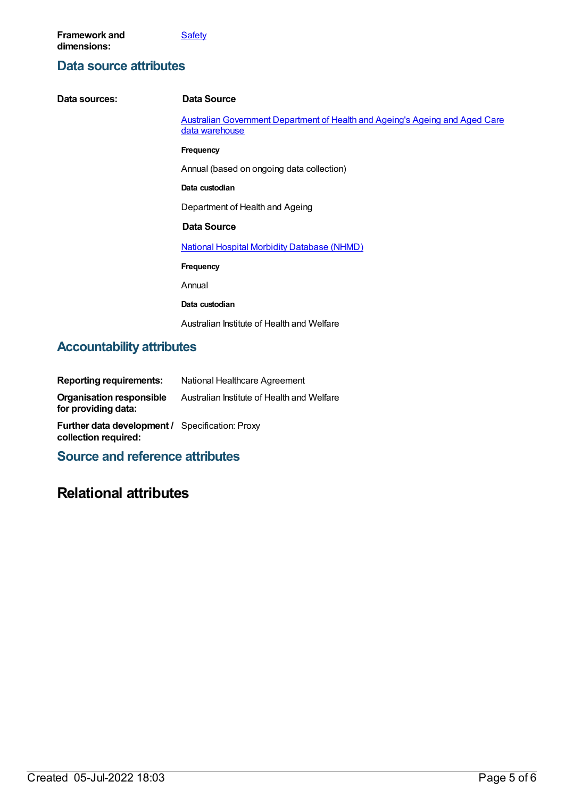# **Data source attributes**

| Data sources:                    | Data Source                                                                                    |  |
|----------------------------------|------------------------------------------------------------------------------------------------|--|
|                                  | Australian Government Department of Health and Ageing's Ageing and Aged Care<br>data warehouse |  |
|                                  | Frequency                                                                                      |  |
|                                  | Annual (based on ongoing data collection)                                                      |  |
|                                  | Data custodian                                                                                 |  |
|                                  | Department of Health and Ageing                                                                |  |
|                                  | Data Source                                                                                    |  |
|                                  | <b>National Hospital Morbidity Database (NHMD)</b>                                             |  |
|                                  | Frequency                                                                                      |  |
|                                  | Annual                                                                                         |  |
|                                  | Data custodian                                                                                 |  |
|                                  | Australian Institute of Health and Welfare                                                     |  |
| <b>Accountability attributes</b> |                                                                                                |  |

**Reporting requirements:** National Healthcare Agreement **Organisation responsible for providing data:** Australian Institute of Health and Welfare

**Further data development /** Specification: Proxy **collection required:**

## **Source and reference attributes**

# **Relational attributes**